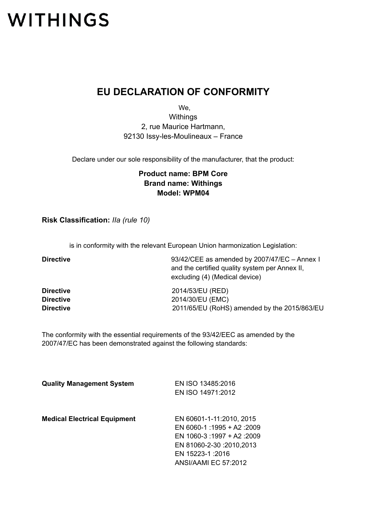## **WITHINGS**

## **EU DECLARATION OF CONFORMITY**

We,

**Withings** 2, rue Maurice Hartmann, 92130 Issy-les-Moulineaux – France

Declare under our sole responsibility of the manufacturer, that the product:

## **Product name: BPM Core Brand name: Withings Model: WPM04**

**Risk Classification:** *IIa (rule 10)*

is in conformity with the relevant European Union harmonization Legislation:

| <b>Directive</b> | 93/42/CEE as amended by 2007/47/EC - Annex I   |
|------------------|------------------------------------------------|
|                  | and the certified quality system per Annex II, |
|                  | excluding (4) (Medical device)                 |
| <b>Directive</b> | 2014/53/EU (RED)                               |
| <b>Directive</b> | 2014/30/EU (EMC)                               |
| <b>Directive</b> | 2011/65/EU (RoHS) amended by the 2015/863/EU   |

The conformity with the essential requirements of the 93/42/EEC as amended by the 2007/47/EC has been demonstrated against the following standards:

| <b>Quality Management System</b>    | EN ISO 13485:2016          |
|-------------------------------------|----------------------------|
|                                     | EN ISO 14971:2012          |
|                                     |                            |
| <b>Medical Electrical Equipment</b> | EN 60601-1-11:2010, 2015   |
|                                     | EN 6060-1:1995 + A2:2009   |
|                                     | EN 1060-3 :1997 + A2 :2009 |
|                                     | EN 81060-2-30 :2010,2013   |
|                                     | EN 15223-1:2016            |
|                                     | ANSI/AAMI EC 57:2012       |